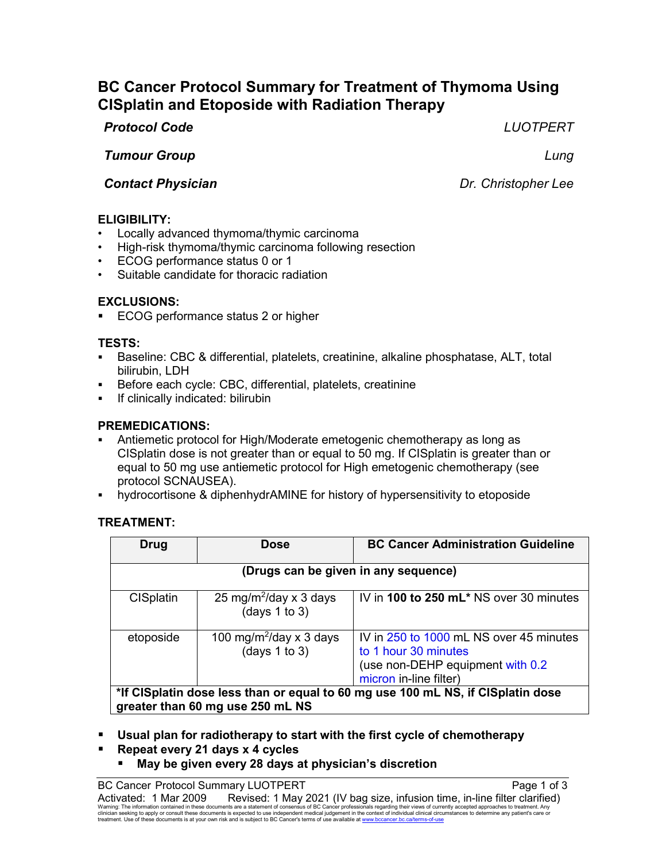# **BC Cancer Protocol Summary for Treatment of Thymoma Using CISplatin and Etoposide with Radiation Therapy**

*Protocol Code LUOTPERT*

*Tumour Group Lung*

*Contact Physician Dr. Christopher Lee*

### **ELIGIBILITY:**

- Locally advanced thymoma/thymic carcinoma
- High-risk thymoma/thymic carcinoma following resection
- ECOG performance status 0 or 1
- Suitable candidate for thoracic radiation

### **EXCLUSIONS:**

**ECOG performance status 2 or higher** 

### **TESTS:**

- Baseline: CBC & differential, platelets, creatinine, alkaline phosphatase, ALT, total bilirubin, LDH
- Before each cycle: CBC, differential, platelets, creatinine
- **If clinically indicated: bilirubin**

## **PREMEDICATIONS:**

- Antiemetic protocol for High/Moderate emetogenic chemotherapy as long as CISplatin dose is not greater than or equal to 50 mg. If CISplatin is greater than or equal to 50 mg use antiemetic protocol for High emetogenic chemotherapy (see protocol SCNAUSEA).
- hydrocortisone & diphenhydrAMINE for history of hypersensitivity to etoposide

# **TREATMENT:**

| Drug                                                                                                                | Dose                                                      | <b>BC Cancer Administration Guideline</b>                                                                                     |  |  |
|---------------------------------------------------------------------------------------------------------------------|-----------------------------------------------------------|-------------------------------------------------------------------------------------------------------------------------------|--|--|
| (Drugs can be given in any sequence)                                                                                |                                                           |                                                                                                                               |  |  |
| <b>CISplatin</b>                                                                                                    | 25 mg/m <sup>2</sup> /day x 3 days<br>(days $1$ to $3$ )  | IV in 100 to 250 mL* NS over 30 minutes                                                                                       |  |  |
| etoposide                                                                                                           | 100 mg/m <sup>2</sup> /day x 3 days<br>(days $1$ to $3$ ) | IV in 250 to 1000 mL NS over 45 minutes<br>to 1 hour 30 minutes<br>(use non-DEHP equipment with 0.2<br>micron in-line filter) |  |  |
| *If CISplatin dose less than or equal to 60 mg use 100 mL NS, if CISplatin dose<br>greater than 60 mg use 250 mL NS |                                                           |                                                                                                                               |  |  |

**Usual plan for radiotherapy to start with the first cycle of chemotherapy**

- **Repeat every 21 days x 4 cycles**
	- **May be given every 28 days at physician's discretion**

BC Cancer Protocol Summary LUOTPERT<br>Activated: 1 Mar 2009 Revised: 1 Mav 2021 (IV bag size. infusion time. in-line filter clarified) Revised: 1 May 2021 (IV bag size, infusion time, in-line filter clarified) Warning: The information contained in these documents are a statement of consensus of BC Cancer professionals regarding their views of currently accepted approaches to treatment. Any<br>clinician seeking to apply or consult t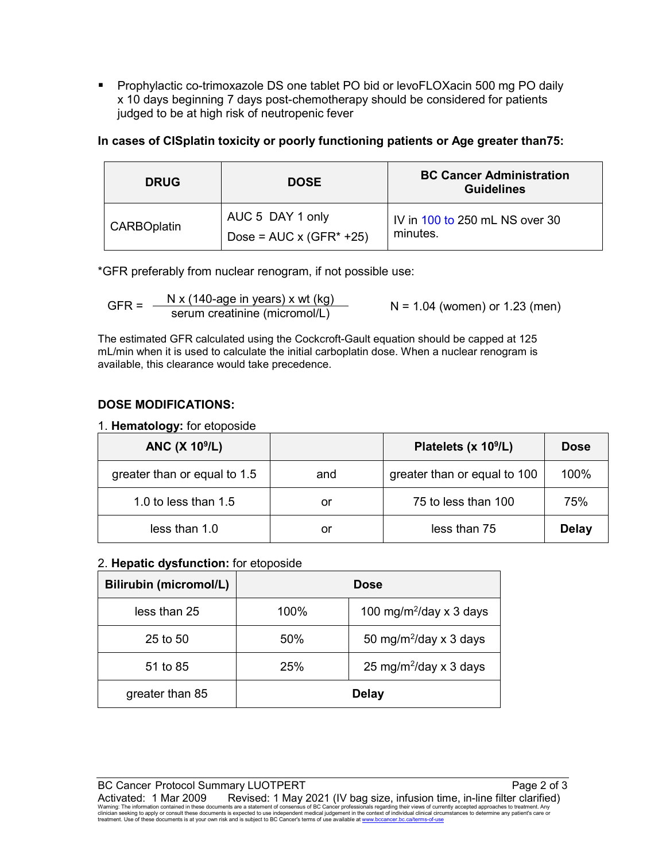Prophylactic co-trimoxazole DS one tablet PO bid or levoFLOXacin 500 mg PO daily x 10 days beginning 7 days post-chemotherapy should be considered for patients judged to be at high risk of neutropenic fever

#### **In cases of CISplatin toxicity or poorly functioning patients or Age greater than75:**

| <b>DRUG</b>        | <b>DOSE</b>                                         | <b>BC Cancer Administration</b><br><b>Guidelines</b> |
|--------------------|-----------------------------------------------------|------------------------------------------------------|
| <b>CARBOplatin</b> | AUC 5 DAY 1 only<br>Dose = $AUC \times (GFR^* +25)$ | IV in 100 to 250 mL NS over 30<br>minutes.           |

\*GFR preferably from nuclear renogram, if not possible use:

GFR =  $\frac{N x (140\text{-age in years}) x wt (kg)}{s$  N = 1.04 (women) or 1.23 (men)

The estimated GFR calculated using the Cockcroft-Gault equation should be capped at 125 mL/min when it is used to calculate the initial carboplatin dose. When a nuclear renogram is available, this clearance would take precedence.

### **DOSE MODIFICATIONS:**

#### 1. **Hematology:** for etoposide

| ANC $(X 109/L)$              |     | Platelets (x 10 <sup>9</sup> /L) | <b>Dose</b>  |
|------------------------------|-----|----------------------------------|--------------|
| greater than or equal to 1.5 | and | greater than or equal to 100     | 100%         |
| 1.0 to less than $1.5$       | or  | 75 to less than 100              | 75%          |
| less than 1.0                | or  | less than 75                     | <b>Delay</b> |

#### 2. **Hepatic dysfunction:** for etoposide

| <b>Bilirubin (micromol/L)</b> | <b>Dose</b> |                                     |  |
|-------------------------------|-------------|-------------------------------------|--|
| less than 25                  | 100%        | 100 mg/m <sup>2</sup> /day x 3 days |  |
| 25 to 50                      | 50%         | 50 mg/m <sup>2</sup> /day x 3 days  |  |
| 51 to 85                      | 25%         | 25 mg/m <sup>2</sup> /day x 3 days  |  |
| greater than 85               |             | <b>Delay</b>                        |  |